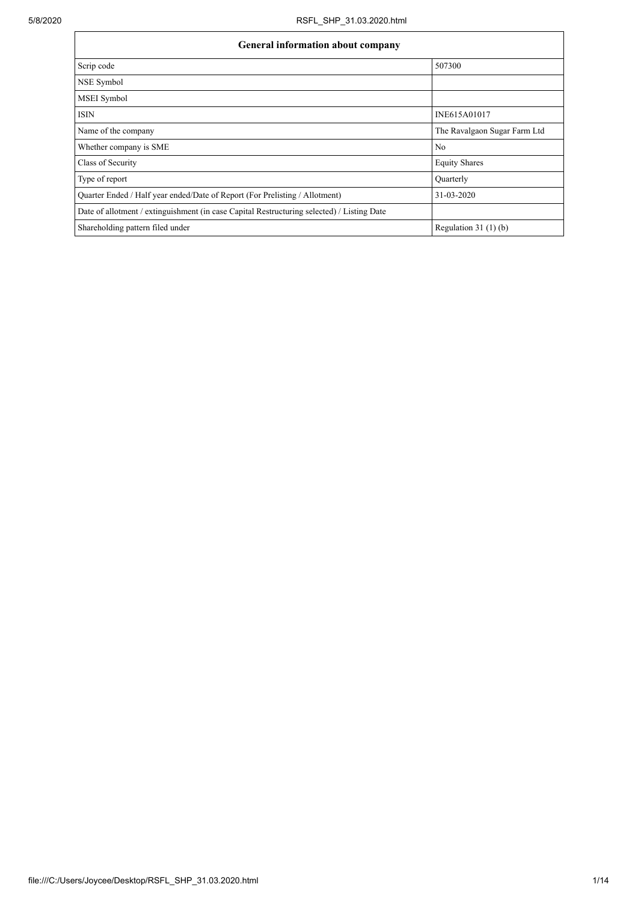| General information about company                                                          |                              |  |  |  |  |  |  |
|--------------------------------------------------------------------------------------------|------------------------------|--|--|--|--|--|--|
| Scrip code                                                                                 | 507300                       |  |  |  |  |  |  |
| NSE Symbol                                                                                 |                              |  |  |  |  |  |  |
| MSEI Symbol                                                                                |                              |  |  |  |  |  |  |
| <b>ISIN</b>                                                                                | INE615A01017                 |  |  |  |  |  |  |
| Name of the company                                                                        | The Ravalgaon Sugar Farm Ltd |  |  |  |  |  |  |
| Whether company is SME                                                                     | No                           |  |  |  |  |  |  |
| Class of Security                                                                          | <b>Equity Shares</b>         |  |  |  |  |  |  |
| Type of report                                                                             | Quarterly                    |  |  |  |  |  |  |
| Quarter Ended / Half year ended/Date of Report (For Prelisting / Allotment)                | 31-03-2020                   |  |  |  |  |  |  |
| Date of allotment / extinguishment (in case Capital Restructuring selected) / Listing Date |                              |  |  |  |  |  |  |
| Shareholding pattern filed under                                                           | Regulation $31(1)(b)$        |  |  |  |  |  |  |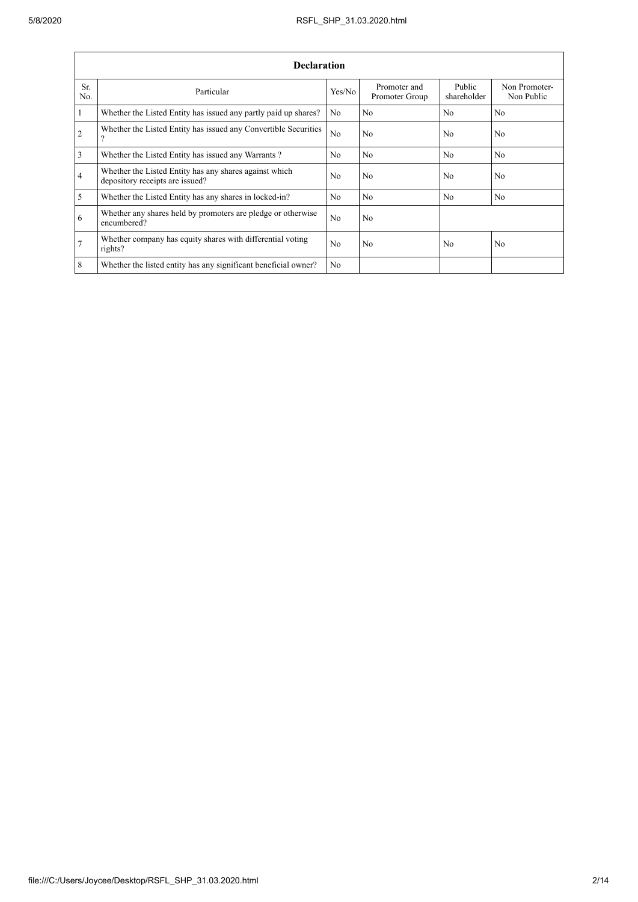|                 | <b>Declaration</b>                                                                        |                |                                |                       |                             |  |  |  |  |
|-----------------|-------------------------------------------------------------------------------------------|----------------|--------------------------------|-----------------------|-----------------------------|--|--|--|--|
| Sr.<br>No.      | Particular                                                                                | Yes/No         | Promoter and<br>Promoter Group | Public<br>shareholder | Non Promoter-<br>Non Public |  |  |  |  |
| $\vert$ 1       | Whether the Listed Entity has issued any partly paid up shares?                           | No             | N <sub>0</sub>                 | N <sub>0</sub>        | N <sub>0</sub>              |  |  |  |  |
| $\overline{2}$  | Whether the Listed Entity has issued any Convertible Securities<br>$\overline{?}$         | N <sub>o</sub> | No                             | No                    | N <sub>o</sub>              |  |  |  |  |
| $\overline{3}$  | Whether the Listed Entity has issued any Warrants?                                        | N <sub>0</sub> | No                             | No                    | N <sub>0</sub>              |  |  |  |  |
| $\overline{4}$  | Whether the Listed Entity has any shares against which<br>depository receipts are issued? | No             | No                             | No                    | N <sub>o</sub>              |  |  |  |  |
| $\overline{5}$  | Whether the Listed Entity has any shares in locked-in?                                    | No.            | No                             | No                    | N <sub>o</sub>              |  |  |  |  |
| 6               | Whether any shares held by promoters are pledge or otherwise<br>encumbered?               | N <sub>0</sub> | No                             |                       |                             |  |  |  |  |
| $\overline{7}$  | Whether company has equity shares with differential voting<br>rights?                     | N <sub>0</sub> | No                             | No                    | N <sub>o</sub>              |  |  |  |  |
| $8\phantom{.}8$ | Whether the listed entity has any significant beneficial owner?                           | N <sub>o</sub> |                                |                       |                             |  |  |  |  |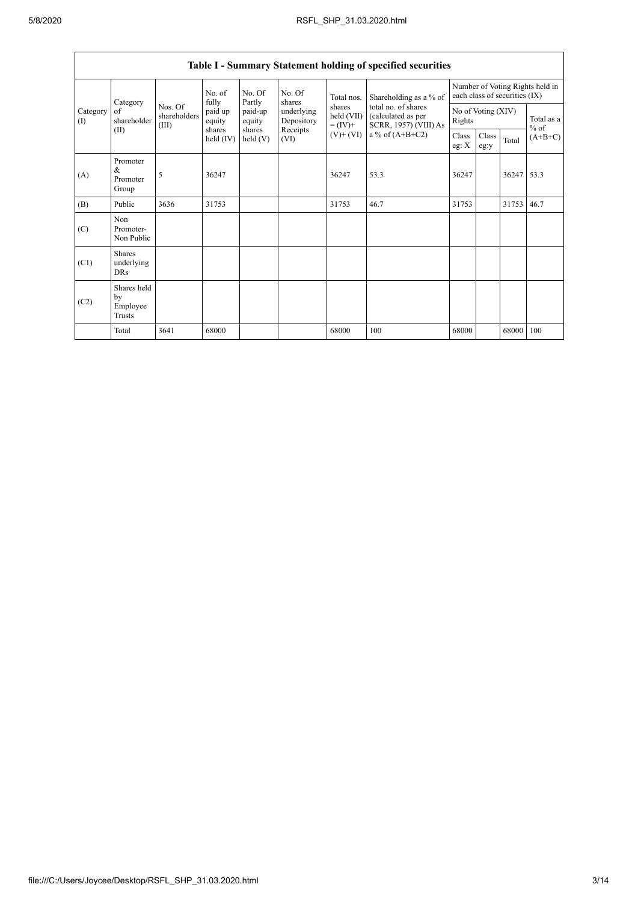| Table I - Summary Statement holding of specified securities |                                           |                                  |                     |                      |                          |                                                                    |                                                                    |                                                                  |               |       |                      |
|-------------------------------------------------------------|-------------------------------------------|----------------------------------|---------------------|----------------------|--------------------------|--------------------------------------------------------------------|--------------------------------------------------------------------|------------------------------------------------------------------|---------------|-------|----------------------|
|                                                             | Category                                  |                                  | No. of<br>fully     | No. Of<br>Partly     | No. Of<br>shares         | Total nos.<br>shares<br>held (VII)<br>$= (IV) +$<br>$(V)$ + $(VI)$ | Shareholding as a % of                                             | Number of Voting Rights held in<br>each class of securities (IX) |               |       |                      |
| Category<br>(1)                                             | of<br>shareholder                         | Nos. Of<br>shareholders<br>(III) | paid up<br>equity   | paid-up<br>equity    | underlying<br>Depository |                                                                    | total no. of shares<br>(calculated as per<br>SCRR, 1957) (VIII) As | No of Voting (XIV)<br>Rights                                     |               |       | Total as a<br>$%$ of |
| (II)                                                        |                                           |                                  | shares<br>held (IV) | shares<br>held $(V)$ | Receipts<br>(VI)         |                                                                    | a % of $(A+B+C2)$                                                  | Class<br>eg: X                                                   | Class<br>eg:y | Total | $(A+B+C)$            |
| (A)                                                         | Promoter<br>&<br>Promoter<br>Group        | 5                                | 36247               |                      |                          | 36247                                                              | 53.3                                                               | 36247                                                            |               | 36247 | 53.3                 |
| (B)                                                         | Public                                    | 3636                             | 31753               |                      |                          | 31753                                                              | 46.7                                                               | 31753                                                            |               | 31753 | 46.7                 |
| (C)                                                         | Non<br>Promoter-<br>Non Public            |                                  |                     |                      |                          |                                                                    |                                                                    |                                                                  |               |       |                      |
| (C1)                                                        | <b>Shares</b><br>underlying<br><b>DRs</b> |                                  |                     |                      |                          |                                                                    |                                                                    |                                                                  |               |       |                      |
| (C2)                                                        | Shares held<br>by<br>Employee<br>Trusts   |                                  |                     |                      |                          |                                                                    |                                                                    |                                                                  |               |       |                      |
|                                                             | Total                                     | 3641                             | 68000               |                      |                          | 68000                                                              | 100                                                                | 68000                                                            |               | 68000 | 100                  |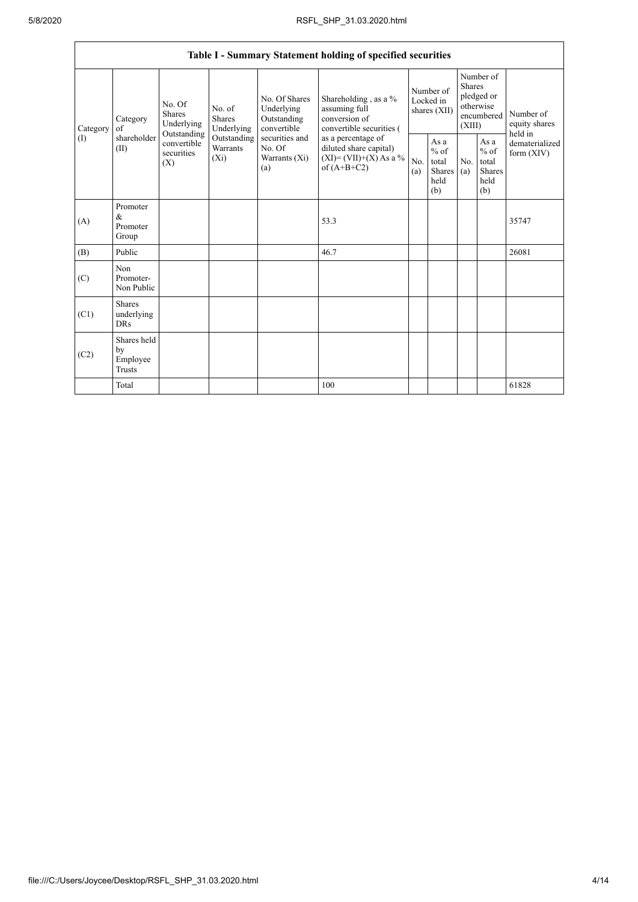$\mathbf{r}$ 

|          |                                                                                                                                                                                                                                                                                                                                                                                         |                                                                           |            | Table I - Summary Statement holding of specified securities |                                        |                                                         |                                                                               |  |                                       |
|----------|-----------------------------------------------------------------------------------------------------------------------------------------------------------------------------------------------------------------------------------------------------------------------------------------------------------------------------------------------------------------------------------------|---------------------------------------------------------------------------|------------|-------------------------------------------------------------|----------------------------------------|---------------------------------------------------------|-------------------------------------------------------------------------------|--|---------------------------------------|
| Category | No. Of Shares<br>No. Of<br>No. of<br>Underlying<br>assuming full<br><b>Shares</b><br>conversion of<br>Category<br><b>Shares</b><br>Outstanding<br>Underlying<br>Underlying<br>of<br>convertible<br>Outstanding<br>shareholder<br>Outstanding<br>securities and<br>convertible<br>Warrants<br>No. Of<br>(II)<br>securities<br>$(X_i)$<br>Warrants $(X_i)$<br>(X)<br>of $(A+B+C2)$<br>(a) |                                                                           |            | Shareholding, as a %<br>convertible securities (            | Number of<br>Locked in<br>shares (XII) |                                                         | Number of<br><b>Shares</b><br>pledged or<br>otherwise<br>encumbered<br>(XIII) |  | Number of<br>equity shares<br>held in |
| (1)      |                                                                                                                                                                                                                                                                                                                                                                                         | as a percentage of<br>diluted share capital)<br>$(XI) = (VII)+(X) As a %$ | No.<br>(a) | As a<br>$%$ of<br>total<br>Shares<br>held<br>(b)            | No.<br>(a)                             | As a<br>$%$ of<br>total<br><b>Shares</b><br>held<br>(b) | dematerialized<br>form $(XIV)$                                                |  |                                       |
| (A)      | Promoter<br>$\&$<br>Promoter<br>Group                                                                                                                                                                                                                                                                                                                                                   |                                                                           |            | 53.3                                                        |                                        |                                                         |                                                                               |  | 35747                                 |
| (B)      | Public                                                                                                                                                                                                                                                                                                                                                                                  |                                                                           |            | 46.7                                                        |                                        |                                                         |                                                                               |  | 26081                                 |
| (C)      | Non<br>Promoter-<br>Non Public                                                                                                                                                                                                                                                                                                                                                          |                                                                           |            |                                                             |                                        |                                                         |                                                                               |  |                                       |
| (C1)     | <b>Shares</b><br>underlying<br><b>DRs</b>                                                                                                                                                                                                                                                                                                                                               |                                                                           |            |                                                             |                                        |                                                         |                                                                               |  |                                       |
| (C2)     | Shares held<br>by<br>Employee<br>Trusts                                                                                                                                                                                                                                                                                                                                                 |                                                                           |            |                                                             |                                        |                                                         |                                                                               |  |                                       |
|          | Total                                                                                                                                                                                                                                                                                                                                                                                   |                                                                           |            | 100                                                         |                                        |                                                         |                                                                               |  | 61828                                 |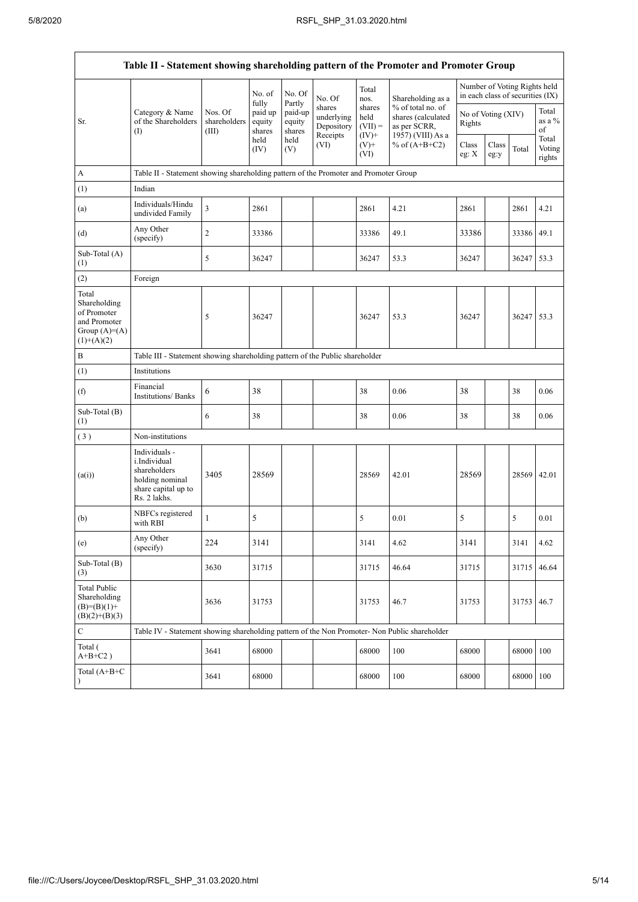$\mathbf{r}$ 

| Table II - Statement showing shareholding pattern of the Promoter and Promoter Group   |                                                                                                         |                                                                                      |                             |                             |                                                |                                        |                                                                              |                |                    |                                                                  |                           |
|----------------------------------------------------------------------------------------|---------------------------------------------------------------------------------------------------------|--------------------------------------------------------------------------------------|-----------------------------|-----------------------------|------------------------------------------------|----------------------------------------|------------------------------------------------------------------------------|----------------|--------------------|------------------------------------------------------------------|---------------------------|
|                                                                                        |                                                                                                         |                                                                                      | No. of<br>fully             | No. Of<br>Partly            | No. Of                                         | Total<br>nos.                          | Shareholding as a                                                            |                |                    | Number of Voting Rights held<br>in each class of securities (IX) |                           |
| Sr.                                                                                    | Category & Name<br>of the Shareholders<br>$\left( \mathrm{I}\right)$                                    | Nos. Of<br>shareholders<br>(III)                                                     | paid up<br>equity<br>shares | paid-up<br>equity<br>shares | shares<br>underlying<br>Depository<br>Receipts | shares<br>held<br>$(VII) =$<br>$(IV)+$ | % of total no. of<br>shares (calculated<br>as per SCRR,<br>1957) (VIII) As a | Rights         | No of Voting (XIV) |                                                                  | Total<br>as a %<br>of     |
|                                                                                        |                                                                                                         |                                                                                      | held<br>(IV)                | held<br>(V)                 | (VI)                                           | $(V)^+$<br>(VI)                        | % of $(A+B+C2)$                                                              | Class<br>eg: X | Class<br>eg:y      | Total                                                            | Total<br>Voting<br>rights |
| A                                                                                      |                                                                                                         | Table II - Statement showing shareholding pattern of the Promoter and Promoter Group |                             |                             |                                                |                                        |                                                                              |                |                    |                                                                  |                           |
| (1)                                                                                    | Indian                                                                                                  |                                                                                      |                             |                             |                                                |                                        |                                                                              |                |                    |                                                                  |                           |
| (a)                                                                                    | Individuals/Hindu<br>undivided Family                                                                   | $\overline{3}$                                                                       | 2861                        |                             |                                                | 2861                                   | 4.21                                                                         | 2861           |                    | 2861                                                             | 4.21                      |
| (d)                                                                                    | Any Other<br>(specify)                                                                                  | $\overline{2}$                                                                       | 33386                       |                             |                                                | 33386                                  | 49.1                                                                         | 33386          |                    | 33386 49.1                                                       |                           |
| Sub-Total (A)<br>(1)                                                                   |                                                                                                         | 5                                                                                    | 36247                       |                             |                                                | 36247                                  | 53.3                                                                         | 36247          |                    | 36247 53.3                                                       |                           |
| (2)                                                                                    | Foreign                                                                                                 |                                                                                      |                             |                             |                                                |                                        |                                                                              |                |                    |                                                                  |                           |
| Total<br>Shareholding<br>of Promoter<br>and Promoter<br>Group $(A)=A)$<br>$(1)+(A)(2)$ |                                                                                                         | 5                                                                                    | 36247                       |                             |                                                | 36247                                  | 53.3                                                                         | 36247          |                    | 36247 53.3                                                       |                           |
| B                                                                                      | Table III - Statement showing shareholding pattern of the Public shareholder                            |                                                                                      |                             |                             |                                                |                                        |                                                                              |                |                    |                                                                  |                           |
| (1)                                                                                    | Institutions                                                                                            |                                                                                      |                             |                             |                                                |                                        |                                                                              |                |                    |                                                                  |                           |
| (f)                                                                                    | Financial<br>Institutions/ Banks                                                                        | 6                                                                                    | 38                          |                             |                                                | 38                                     | 0.06                                                                         | 38             |                    | 38                                                               | 0.06                      |
| Sub-Total (B)<br>(1)                                                                   |                                                                                                         | 6                                                                                    | 38                          |                             |                                                | 38                                     | 0.06                                                                         | 38             |                    | 38                                                               | 0.06                      |
| (3)                                                                                    | Non-institutions                                                                                        |                                                                                      |                             |                             |                                                |                                        |                                                                              |                |                    |                                                                  |                           |
| (a(i))                                                                                 | Individuals -<br>i.Individual<br>shareholders<br>holding nominal<br>share capital up to<br>Rs. 2 lakhs. | 3405                                                                                 | 28569                       |                             |                                                | 28569                                  | 42.01                                                                        | 28569          |                    | 28569                                                            | 42.01                     |
| (b)                                                                                    | NBFCs registered<br>with RBI                                                                            | $\mathbf{1}$                                                                         | 5                           |                             |                                                | 5                                      | 0.01                                                                         | 5              |                    | 5                                                                | 0.01                      |
| (e)                                                                                    | Any Other<br>(specify)                                                                                  | 224                                                                                  | 3141                        |                             |                                                | 3141                                   | 4.62                                                                         | 3141           |                    | 3141                                                             | 4.62                      |
| Sub-Total (B)<br>(3)                                                                   |                                                                                                         | 3630                                                                                 | 31715                       |                             |                                                | 31715                                  | 46.64                                                                        | 31715          |                    | 31715 46.64                                                      |                           |
| Total Public<br>Shareholding<br>$(B)=(B)(1)+$<br>$(B)(2)+(B)(3)$                       |                                                                                                         | 3636                                                                                 | 31753                       |                             |                                                | 31753                                  | 46.7                                                                         | 31753          |                    | 31753                                                            | 46.7                      |
| $\mathsf{C}$                                                                           | Table IV - Statement showing shareholding pattern of the Non Promoter- Non Public shareholder           |                                                                                      |                             |                             |                                                |                                        |                                                                              |                |                    |                                                                  |                           |
| Total (<br>$A+B+C2$ )                                                                  |                                                                                                         | 3641                                                                                 | 68000                       |                             |                                                | 68000                                  | 100                                                                          | 68000          |                    | 68000 100                                                        |                           |
| Total (A+B+C<br>$\mathcal{E}$                                                          |                                                                                                         | 3641                                                                                 | 68000                       |                             |                                                | 68000                                  | 100                                                                          | 68000          |                    | 68000 100                                                        |                           |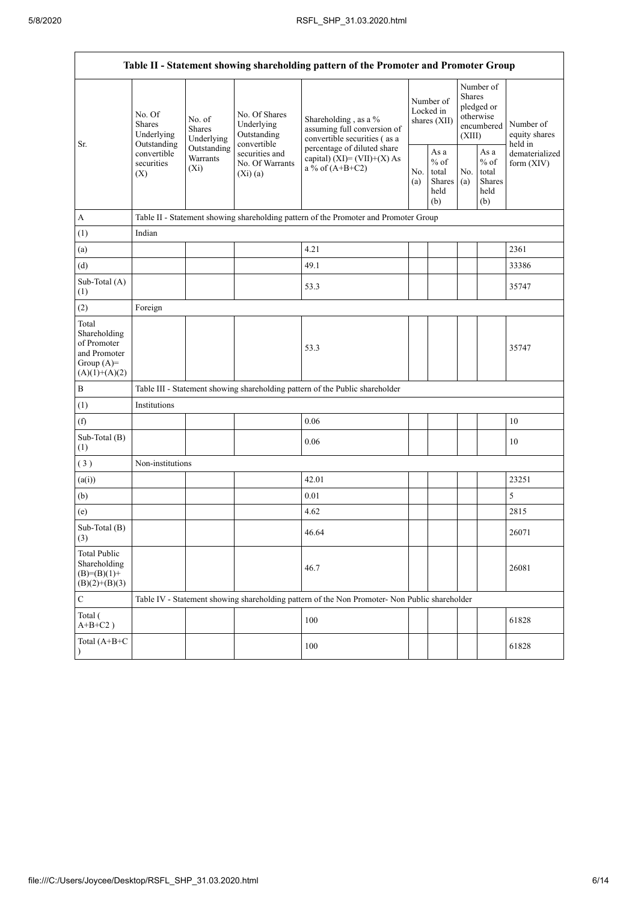$\overline{1}$ 

|                                                                                         | Table II - Statement showing shareholding pattern of the Promoter and Promoter Group                                                                                    |                                            |                                                                                                                                                                 |                                                                                               |            |                                                                               |                              |                                       |       |
|-----------------------------------------------------------------------------------------|-------------------------------------------------------------------------------------------------------------------------------------------------------------------------|--------------------------------------------|-----------------------------------------------------------------------------------------------------------------------------------------------------------------|-----------------------------------------------------------------------------------------------|------------|-------------------------------------------------------------------------------|------------------------------|---------------------------------------|-------|
| Sr.                                                                                     | No. Of<br>No. of<br><b>Shares</b><br><b>Shares</b><br>Underlying<br>Underlying<br>Outstanding<br>Outstanding<br>convertible<br>Warrants<br>securities<br>$(X_i)$<br>(X) | No. Of Shares<br>Underlying<br>Outstanding | Shareholding, as a %<br>assuming full conversion of<br>convertible securities (as a                                                                             | Number of<br>Locked in<br>shares (XII)                                                        |            | Number of<br><b>Shares</b><br>pledged or<br>otherwise<br>encumbered<br>(XIII) |                              | Number of<br>equity shares<br>held in |       |
|                                                                                         |                                                                                                                                                                         |                                            | convertible<br>percentage of diluted share<br>securities and<br>capital) $(XI) = (VII)+(X) As$<br>No. Of Warrants<br>a % of $(A+B+C2)$<br>No.<br>(Xi)(a)<br>(a) | As a<br>$%$ of<br>total<br><b>Shares</b><br>held<br>(b)                                       | No.<br>(a) | As a<br>$\%$ of<br>total<br><b>Shares</b><br>held<br>(b)                      | dematerialized<br>form (XIV) |                                       |       |
| A                                                                                       |                                                                                                                                                                         |                                            |                                                                                                                                                                 | Table II - Statement showing shareholding pattern of the Promoter and Promoter Group          |            |                                                                               |                              |                                       |       |
| (1)                                                                                     | Indian                                                                                                                                                                  |                                            |                                                                                                                                                                 |                                                                                               |            |                                                                               |                              |                                       |       |
| (a)                                                                                     |                                                                                                                                                                         |                                            |                                                                                                                                                                 | 4.21                                                                                          |            |                                                                               |                              |                                       | 2361  |
| (d)                                                                                     |                                                                                                                                                                         |                                            |                                                                                                                                                                 | 49.1                                                                                          |            |                                                                               |                              |                                       | 33386 |
| Sub-Total (A)<br>(1)                                                                    |                                                                                                                                                                         |                                            |                                                                                                                                                                 | 53.3                                                                                          |            |                                                                               |                              |                                       | 35747 |
| (2)                                                                                     | Foreign                                                                                                                                                                 |                                            |                                                                                                                                                                 |                                                                                               |            |                                                                               |                              |                                       |       |
| Total<br>Shareholding<br>of Promoter<br>and Promoter<br>Group $(A)=$<br>$(A)(1)+(A)(2)$ |                                                                                                                                                                         |                                            |                                                                                                                                                                 | 53.3                                                                                          |            |                                                                               |                              |                                       | 35747 |
| $\, {\bf B}$                                                                            |                                                                                                                                                                         |                                            |                                                                                                                                                                 | Table III - Statement showing shareholding pattern of the Public shareholder                  |            |                                                                               |                              |                                       |       |
| (1)                                                                                     | Institutions                                                                                                                                                            |                                            |                                                                                                                                                                 |                                                                                               |            |                                                                               |                              |                                       |       |
| (f)                                                                                     |                                                                                                                                                                         |                                            |                                                                                                                                                                 | 0.06                                                                                          |            |                                                                               |                              |                                       | 10    |
| Sub-Total (B)<br>(1)                                                                    |                                                                                                                                                                         |                                            |                                                                                                                                                                 | 0.06                                                                                          |            |                                                                               |                              |                                       | 10    |
| (3)                                                                                     | Non-institutions                                                                                                                                                        |                                            |                                                                                                                                                                 |                                                                                               |            |                                                                               |                              |                                       |       |
| (a(i))                                                                                  |                                                                                                                                                                         |                                            |                                                                                                                                                                 | 42.01                                                                                         |            |                                                                               |                              |                                       | 23251 |
| (b)                                                                                     |                                                                                                                                                                         |                                            |                                                                                                                                                                 | 0.01                                                                                          |            |                                                                               |                              |                                       | 5     |
| (e)                                                                                     |                                                                                                                                                                         |                                            |                                                                                                                                                                 | 4.62                                                                                          |            |                                                                               |                              |                                       | 2815  |
| Sub-Total (B)<br>(3)                                                                    |                                                                                                                                                                         |                                            |                                                                                                                                                                 | 46.64                                                                                         |            |                                                                               |                              |                                       | 26071 |
| <b>Total Public</b><br>Shareholding<br>$(B)= (B)(1) +$<br>$(B)(2)+(B)(3)$               |                                                                                                                                                                         |                                            |                                                                                                                                                                 | 46.7                                                                                          |            |                                                                               |                              |                                       | 26081 |
| ${\bf C}$                                                                               |                                                                                                                                                                         |                                            |                                                                                                                                                                 | Table IV - Statement showing shareholding pattern of the Non Promoter- Non Public shareholder |            |                                                                               |                              |                                       |       |
| Total (<br>$A+B+C2$ )                                                                   |                                                                                                                                                                         |                                            |                                                                                                                                                                 | 100                                                                                           |            |                                                                               |                              |                                       | 61828 |
| Total (A+B+C<br>$\lambda$                                                               |                                                                                                                                                                         |                                            |                                                                                                                                                                 | 100                                                                                           |            |                                                                               |                              |                                       | 61828 |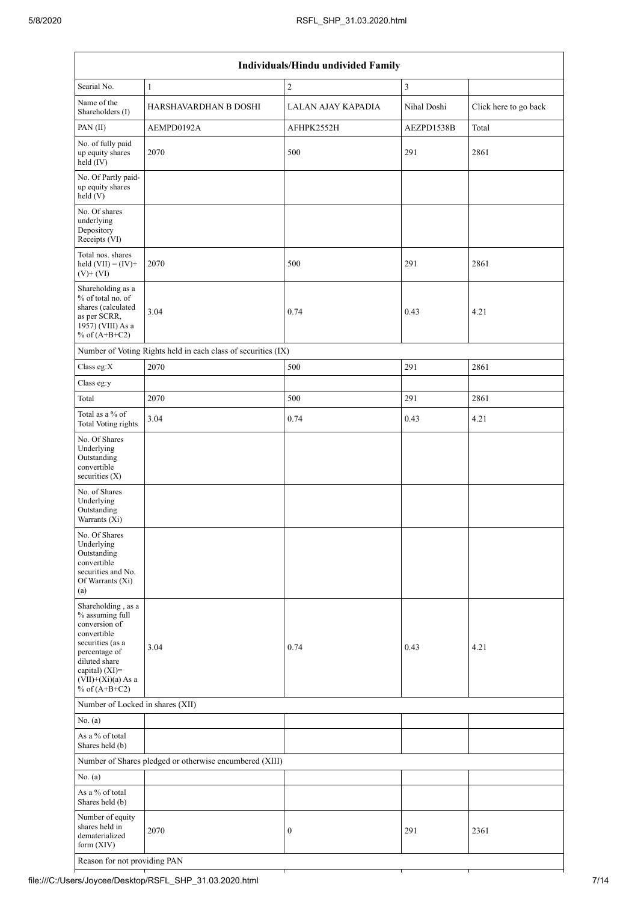| Individuals/Hindu undivided Family                                                                                                                                                       |                                                               |                    |               |                       |  |  |  |  |
|------------------------------------------------------------------------------------------------------------------------------------------------------------------------------------------|---------------------------------------------------------------|--------------------|---------------|-----------------------|--|--|--|--|
| Searial No.                                                                                                                                                                              | $\mathbf{1}$                                                  | $\mathbf{2}$       | $\mathfrak z$ |                       |  |  |  |  |
| Name of the<br>Shareholders (I)                                                                                                                                                          | HARSHAVARDHAN B DOSHI                                         | LALAN AJAY KAPADIA | Nihal Doshi   | Click here to go back |  |  |  |  |
| PAN(II)                                                                                                                                                                                  | AEMPD0192A                                                    | AFHPK2552H         | AEZPD1538B    | Total                 |  |  |  |  |
| No. of fully paid<br>up equity shares<br>held (IV)                                                                                                                                       | 2070                                                          | 500                | 291           | 2861                  |  |  |  |  |
| No. Of Partly paid-<br>up equity shares<br>held(V)                                                                                                                                       |                                                               |                    |               |                       |  |  |  |  |
| No. Of shares<br>underlying<br>Depository<br>Receipts (VI)                                                                                                                               |                                                               |                    |               |                       |  |  |  |  |
| Total nos. shares<br>held $(VII) = (IV) +$<br>$(V)$ + $(VI)$                                                                                                                             | 2070                                                          | 500                | 291           | 2861                  |  |  |  |  |
| Shareholding as a<br>% of total no. of<br>shares (calculated<br>as per SCRR,<br>1957) (VIII) As a<br>% of $(A+B+C2)$                                                                     | 3.04                                                          | 0.74               | 0.43          | 4.21                  |  |  |  |  |
|                                                                                                                                                                                          | Number of Voting Rights held in each class of securities (IX) |                    |               |                       |  |  |  |  |
| Class eg:X                                                                                                                                                                               | 2070                                                          | 500                | 291           | 2861                  |  |  |  |  |
| Class eg:y                                                                                                                                                                               |                                                               |                    |               |                       |  |  |  |  |
| Total                                                                                                                                                                                    | 2070                                                          | 500                | 291           | 2861                  |  |  |  |  |
| Total as a % of<br><b>Total Voting rights</b>                                                                                                                                            | 3.04                                                          | 0.74               | 0.43          | 4.21                  |  |  |  |  |
| No. Of Shares<br>Underlying<br>Outstanding<br>convertible<br>securities (X)                                                                                                              |                                                               |                    |               |                       |  |  |  |  |
| No. of Shares<br>Underlying<br>Outstanding<br>Warrants (Xi)                                                                                                                              |                                                               |                    |               |                       |  |  |  |  |
| No. Of Shares<br>Underlying<br>Outstanding<br>convertible<br>securities and No.<br>Of Warrants (Xi)<br>(a)                                                                               |                                                               |                    |               |                       |  |  |  |  |
| Shareholding, as a<br>% assuming full<br>conversion of<br>convertible<br>securities (as a<br>percentage of<br>diluted share<br>capital) (XI)=<br>$(VII)+(Xi)(a)$ As a<br>% of $(A+B+C2)$ | 3.04                                                          | 0.74               | 0.43          | 4.21                  |  |  |  |  |
| Number of Locked in shares (XII)                                                                                                                                                         |                                                               |                    |               |                       |  |  |  |  |
| No. $(a)$                                                                                                                                                                                |                                                               |                    |               |                       |  |  |  |  |
| As a % of total<br>Shares held (b)                                                                                                                                                       |                                                               |                    |               |                       |  |  |  |  |
|                                                                                                                                                                                          | Number of Shares pledged or otherwise encumbered (XIII)       |                    |               |                       |  |  |  |  |
| No. (a)                                                                                                                                                                                  |                                                               |                    |               |                       |  |  |  |  |
| As a % of total<br>Shares held (b)                                                                                                                                                       |                                                               |                    |               |                       |  |  |  |  |
| Number of equity<br>shares held in<br>dematerialized<br>form $(XIV)$                                                                                                                     | 2070                                                          | $\boldsymbol{0}$   | 291           | 2361                  |  |  |  |  |
| Reason for not providing PAN                                                                                                                                                             |                                                               |                    |               |                       |  |  |  |  |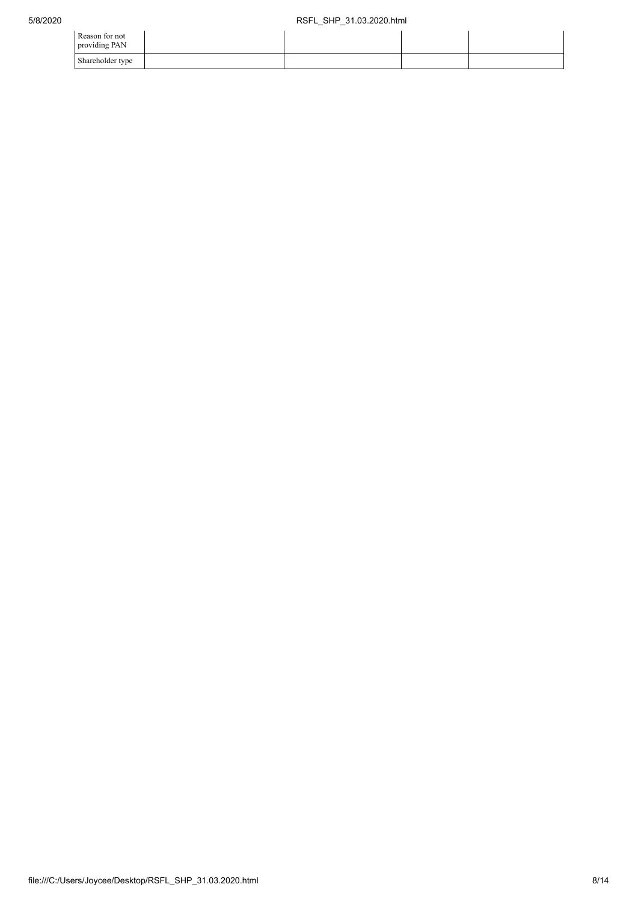| Reason for not<br>providing PAN |  |  |
|---------------------------------|--|--|
| Shareholder type                |  |  |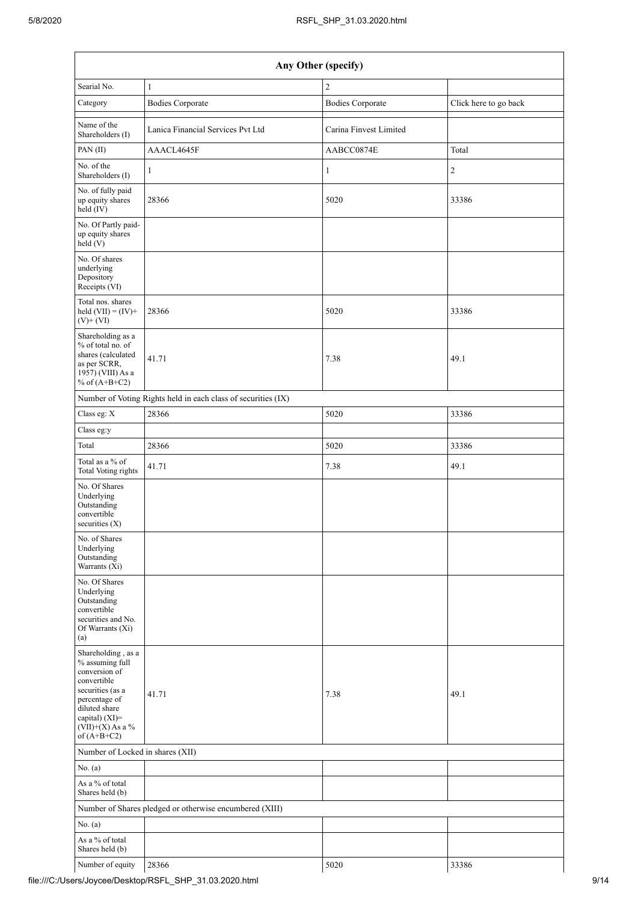| Any Other (specify)                                                                                                                                                                  |                                                               |                         |                       |  |  |  |  |  |  |  |
|--------------------------------------------------------------------------------------------------------------------------------------------------------------------------------------|---------------------------------------------------------------|-------------------------|-----------------------|--|--|--|--|--|--|--|
| Searial No.                                                                                                                                                                          | $\mathbf{1}$                                                  | $\sqrt{2}$              |                       |  |  |  |  |  |  |  |
| Category                                                                                                                                                                             | <b>Bodies Corporate</b>                                       | <b>Bodies Corporate</b> | Click here to go back |  |  |  |  |  |  |  |
| Name of the<br>Shareholders (I)                                                                                                                                                      | Lanica Financial Services Pvt Ltd                             | Carina Finvest Limited  |                       |  |  |  |  |  |  |  |
| PAN(II)                                                                                                                                                                              | AAACL4645F                                                    | AABCC0874E              | Total                 |  |  |  |  |  |  |  |
| No. of the<br>Shareholders (I)                                                                                                                                                       | $\mathbf{1}$                                                  | $\mathbf{1}$            | $\sqrt{2}$            |  |  |  |  |  |  |  |
| No. of fully paid<br>up equity shares<br>$\text{held}(\text{IV})$                                                                                                                    | 28366                                                         | 5020                    | 33386                 |  |  |  |  |  |  |  |
| No. Of Partly paid-<br>up equity shares<br>held(V)                                                                                                                                   |                                                               |                         |                       |  |  |  |  |  |  |  |
| No. Of shares<br>underlying<br>Depository<br>Receipts (VI)                                                                                                                           |                                                               |                         |                       |  |  |  |  |  |  |  |
| Total nos. shares<br>held $(VII) = (IV) +$<br>$(V)+(VI)$                                                                                                                             | 28366                                                         | 5020                    | 33386                 |  |  |  |  |  |  |  |
| Shareholding as a<br>% of total no. of<br>shares (calculated<br>as per SCRR,<br>1957) (VIII) As a<br>% of $(A+B+C2)$                                                                 | 41.71                                                         | 7.38                    | 49.1                  |  |  |  |  |  |  |  |
|                                                                                                                                                                                      | Number of Voting Rights held in each class of securities (IX) |                         |                       |  |  |  |  |  |  |  |
| Class eg: X                                                                                                                                                                          | 28366                                                         | 5020                    | 33386                 |  |  |  |  |  |  |  |
| Class eg:y                                                                                                                                                                           |                                                               |                         |                       |  |  |  |  |  |  |  |
| Total                                                                                                                                                                                | 28366                                                         | 5020                    | 33386                 |  |  |  |  |  |  |  |
| Total as a % of<br><b>Total Voting rights</b>                                                                                                                                        | 41.71                                                         | 7.38                    | 49.1                  |  |  |  |  |  |  |  |
| No. Of Shares<br>Underlying<br>Outstanding<br>convertible<br>securities $(X)$                                                                                                        |                                                               |                         |                       |  |  |  |  |  |  |  |
| No. of Shares<br>Underlying<br>Outstanding<br>Warrants $(X_i)$                                                                                                                       |                                                               |                         |                       |  |  |  |  |  |  |  |
| No. Of Shares<br>Underlying<br>Outstanding<br>convertible<br>securities and No.<br>Of Warrants (Xi)<br>(a)                                                                           |                                                               |                         |                       |  |  |  |  |  |  |  |
| Shareholding, as a<br>% assuming full<br>conversion of<br>convertible<br>securities (as a<br>percentage of<br>diluted share<br>capital) (XI)=<br>$(VII)+(X)$ As a %<br>of $(A+B+C2)$ | 41.71                                                         | 7.38                    | 49.1                  |  |  |  |  |  |  |  |
| Number of Locked in shares (XII)                                                                                                                                                     |                                                               |                         |                       |  |  |  |  |  |  |  |
| No. (a)                                                                                                                                                                              |                                                               |                         |                       |  |  |  |  |  |  |  |
| As a % of total<br>Shares held (b)                                                                                                                                                   |                                                               |                         |                       |  |  |  |  |  |  |  |
|                                                                                                                                                                                      | Number of Shares pledged or otherwise encumbered (XIII)       |                         |                       |  |  |  |  |  |  |  |
| No. (a)                                                                                                                                                                              |                                                               |                         |                       |  |  |  |  |  |  |  |
| As a % of total<br>Shares held (b)                                                                                                                                                   |                                                               |                         |                       |  |  |  |  |  |  |  |
| Number of equity                                                                                                                                                                     | 28366                                                         | 5020                    | 33386                 |  |  |  |  |  |  |  |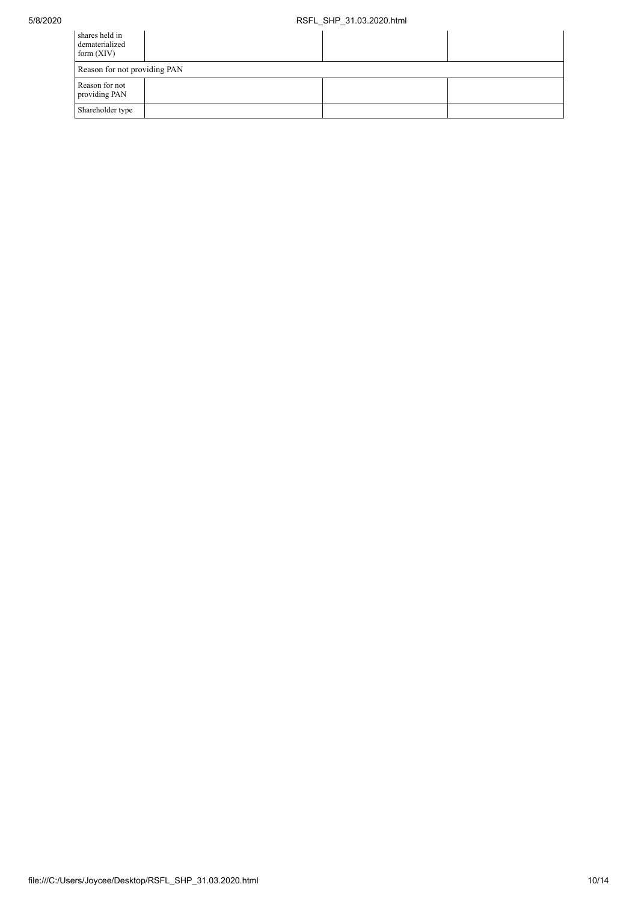| shares held in<br>dematerialized<br>form $(XIV)$ |  |  |  |  |  |  |  |
|--------------------------------------------------|--|--|--|--|--|--|--|
| Reason for not providing PAN                     |  |  |  |  |  |  |  |
| Reason for not<br>providing PAN                  |  |  |  |  |  |  |  |
| Shareholder type                                 |  |  |  |  |  |  |  |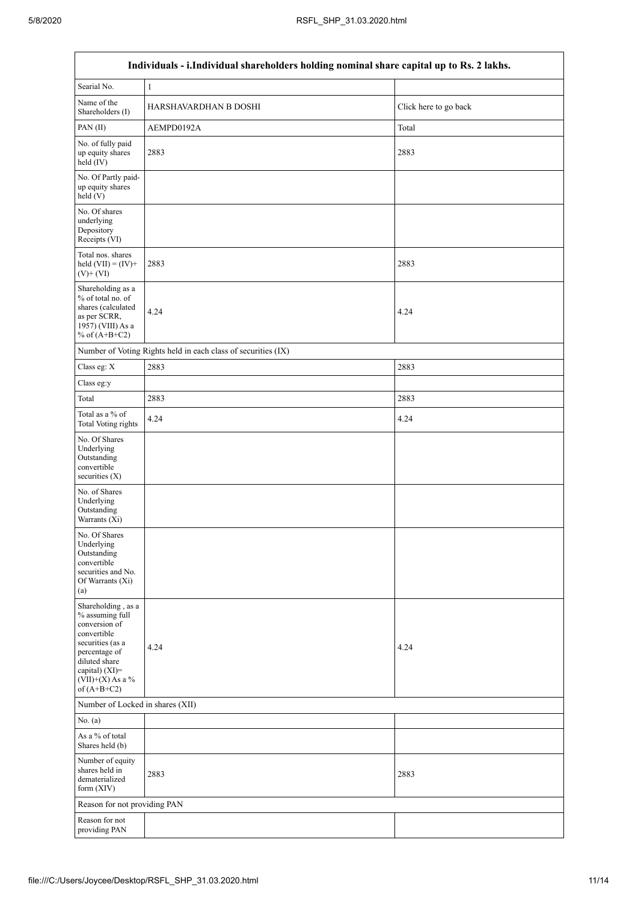$\Gamma$ 

|                                                                                                                                                                                      | Individuals - i.Individual shareholders holding nominal share capital up to Rs. 2 lakhs. |                       |
|--------------------------------------------------------------------------------------------------------------------------------------------------------------------------------------|------------------------------------------------------------------------------------------|-----------------------|
| Searial No.                                                                                                                                                                          | 1                                                                                        |                       |
| Name of the<br>Shareholders (I)                                                                                                                                                      | HARSHAVARDHAN B DOSHI                                                                    | Click here to go back |
| PAN(II)                                                                                                                                                                              | AEMPD0192A                                                                               | Total                 |
| No. of fully paid<br>up equity shares<br>held (IV)                                                                                                                                   | 2883                                                                                     | 2883                  |
| No. Of Partly paid-<br>up equity shares<br>held (V)                                                                                                                                  |                                                                                          |                       |
| No. Of shares<br>underlying<br>Depository<br>Receipts (VI)                                                                                                                           |                                                                                          |                       |
| Total nos. shares<br>held $(VII) = (IV) +$<br>$(V)$ + $(VI)$                                                                                                                         | 2883                                                                                     | 2883                  |
| Shareholding as a<br>% of total no. of<br>shares (calculated<br>as per SCRR,<br>1957) (VIII) As a<br>% of $(A+B+C2)$                                                                 | 4.24                                                                                     | 4.24                  |
|                                                                                                                                                                                      | Number of Voting Rights held in each class of securities (IX)                            |                       |
| Class eg: X                                                                                                                                                                          | 2883                                                                                     | 2883                  |
| Class eg:y                                                                                                                                                                           |                                                                                          |                       |
| Total                                                                                                                                                                                | 2883                                                                                     | 2883                  |
| Total as a % of<br><b>Total Voting rights</b>                                                                                                                                        | 4.24                                                                                     | 4.24                  |
| No. Of Shares<br>Underlying<br>Outstanding<br>convertible<br>securities $(X)$                                                                                                        |                                                                                          |                       |
| No. of Shares<br>Underlying<br>Outstanding<br>Warrants (Xi)                                                                                                                          |                                                                                          |                       |
| No. Of Shares<br>Underlying<br>Outstanding<br>convertible<br>securities and No.<br>Of Warrants (Xi)<br>(a)                                                                           |                                                                                          |                       |
| Shareholding, as a<br>% assuming full<br>conversion of<br>convertible<br>securities (as a<br>percentage of<br>diluted share<br>capital) (XI)=<br>$(VII)+(X)$ As a %<br>of $(A+B+C2)$ | 4.24                                                                                     | 4.24                  |
| Number of Locked in shares (XII)                                                                                                                                                     |                                                                                          |                       |
| No. (a)                                                                                                                                                                              |                                                                                          |                       |
| As a % of total<br>Shares held (b)                                                                                                                                                   |                                                                                          |                       |
| Number of equity<br>shares held in<br>dematerialized<br>form (XIV)                                                                                                                   | 2883                                                                                     | 2883                  |
| Reason for not providing PAN                                                                                                                                                         |                                                                                          |                       |
| Reason for not<br>providing PAN                                                                                                                                                      |                                                                                          |                       |

٦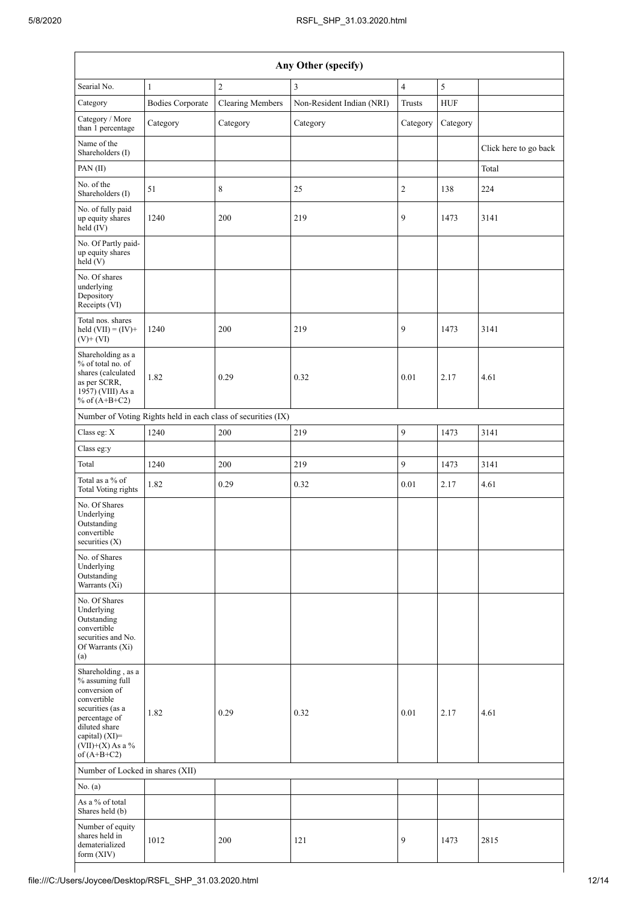| Any Other (specify)                                                                                                                                                                  |                         |                                                               |                           |                |            |                       |  |  |
|--------------------------------------------------------------------------------------------------------------------------------------------------------------------------------------|-------------------------|---------------------------------------------------------------|---------------------------|----------------|------------|-----------------------|--|--|
| Searial No.                                                                                                                                                                          | $\mathbf{1}$            | $\sqrt{2}$                                                    | $\mathfrak{Z}$            | $\overline{4}$ | $\sqrt{5}$ |                       |  |  |
| Category                                                                                                                                                                             | <b>Bodies Corporate</b> | <b>Clearing Members</b>                                       | Non-Resident Indian (NRI) | <b>Trusts</b>  | <b>HUF</b> |                       |  |  |
| Category / More<br>than 1 percentage                                                                                                                                                 | Category                | Category                                                      | Category                  | Category       | Category   |                       |  |  |
| Name of the<br>Shareholders (I)                                                                                                                                                      |                         |                                                               |                           |                |            | Click here to go back |  |  |
| PAN(II)                                                                                                                                                                              |                         |                                                               |                           |                |            | Total                 |  |  |
| No. of the<br>Shareholders (I)                                                                                                                                                       | 51                      | 8                                                             | 25                        | 2              | 138        | 224                   |  |  |
| No. of fully paid<br>up equity shares<br>held (IV)                                                                                                                                   | 1240                    | 200                                                           | 219                       | 9              | 1473       | 3141                  |  |  |
| No. Of Partly paid-<br>up equity shares<br>held(V)                                                                                                                                   |                         |                                                               |                           |                |            |                       |  |  |
| No. Of shares<br>underlying<br>Depository<br>Receipts (VI)                                                                                                                           |                         |                                                               |                           |                |            |                       |  |  |
| Total nos. shares<br>held $(VII) = (IV) +$<br>$(V)$ + $(VI)$                                                                                                                         | 1240                    | 200                                                           | 219                       | 9              | 1473       | 3141                  |  |  |
| Shareholding as a<br>% of total no. of<br>shares (calculated<br>as per SCRR,<br>1957) (VIII) As a<br>% of $(A+B+C2)$                                                                 | 1.82                    | 0.29                                                          | 0.32                      | 0.01           | 2.17       | 4.61                  |  |  |
|                                                                                                                                                                                      |                         | Number of Voting Rights held in each class of securities (IX) |                           |                |            |                       |  |  |
| Class eg: X                                                                                                                                                                          | 1240                    | 200                                                           | 219                       | 9              | 1473       | 3141                  |  |  |
| Class eg:y                                                                                                                                                                           |                         |                                                               |                           |                |            |                       |  |  |
| Total                                                                                                                                                                                | 1240                    | 200                                                           | 219                       | 9              | 1473       | 3141                  |  |  |
| Total as a % of<br><b>Total Voting rights</b>                                                                                                                                        | 1.82                    | 0.29                                                          | 0.32                      | 0.01           | 2.17       | 4.61                  |  |  |
| No. Of Shares<br>Underlying<br>Outstanding<br>convertible<br>securities (X)                                                                                                          |                         |                                                               |                           |                |            |                       |  |  |
| No. of Shares<br>Underlying<br>Outstanding<br>Warrants (Xi)                                                                                                                          |                         |                                                               |                           |                |            |                       |  |  |
| No. Of Shares<br>Underlying<br>Outstanding<br>convertible<br>securities and No.<br>Of Warrants (Xi)<br>(a)                                                                           |                         |                                                               |                           |                |            |                       |  |  |
| Shareholding, as a<br>% assuming full<br>conversion of<br>convertible<br>securities (as a<br>percentage of<br>diluted share<br>capital) (XI)=<br>$(VII)+(X)$ As a %<br>of $(A+B+C2)$ | 1.82                    | 0.29                                                          | 0.32                      | 0.01           | 2.17       | 4.61                  |  |  |
| Number of Locked in shares (XII)                                                                                                                                                     |                         |                                                               |                           |                |            |                       |  |  |
| No. (a)                                                                                                                                                                              |                         |                                                               |                           |                |            |                       |  |  |
| As a % of total<br>Shares held (b)                                                                                                                                                   |                         |                                                               |                           |                |            |                       |  |  |
| Number of equity<br>shares held in<br>dematerialized<br>form (XIV)                                                                                                                   | 1012                    | 200                                                           | 121                       | 9              | 1473       | 2815                  |  |  |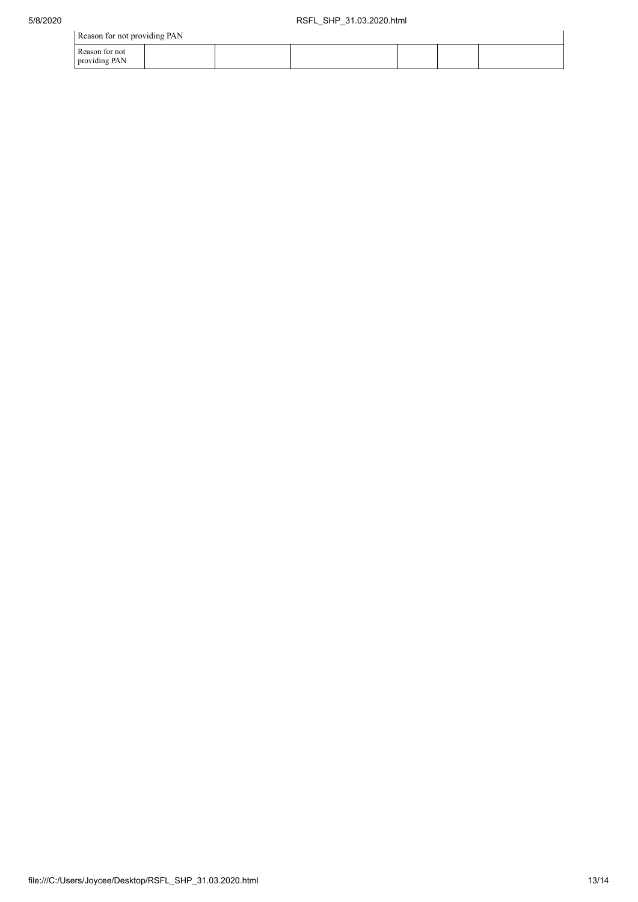| Reason for not providing PAN    |  |  |  |  |  |  |
|---------------------------------|--|--|--|--|--|--|
| Reason for not<br>providing PAN |  |  |  |  |  |  |